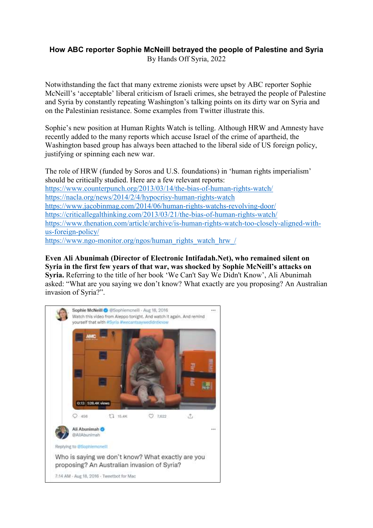## **How ABC reporter Sophie McNeill betrayed the people of Palestine and Syria** By Hands Off Syria, 2022

Notwithstanding the fact that many extreme zionists were upset by ABC reporter Sophie McNeill's 'acceptable' liberal criticism of Israeli crimes, she betrayed the people of Palestine and Syria by constantly repeating Washington's talking points on its dirty war on Syria and on the Palestinian resistance. Some examples from Twitter illustrate this.

Sophie's new position at Human Rights Watch is telling. Although HRW and Amnesty have recently added to the many reports which accuse Israel of the crime of apartheid, the Washington based group has always been attached to the liberal side of US foreign policy, justifying or spinning each new war.

The role of HRW (funded by Soros and U.S. foundations) in 'human rights imperialism' should be critically studied. Here are a few relevant reports: <https://www.counterpunch.org/2013/03/14/the-bias-of-human-rights-watch/> <https://nacla.org/news/2014/2/4/hypocrisy-human-rights-watch> <https://www.jacobinmag.com/2014/06/human-rights-watchs-revolving-door/> <https://criticallegalthinking.com/2013/03/21/the-bias-of-human-rights-watch/> [https://www.thenation.com/article/archive/is-human-rights-watch-too-closely-aligned-with](https://www.thenation.com/article/archive/is-human-rights-watch-too-closely-aligned-with-us-foreign-policy/)[us-foreign-policy/](https://www.thenation.com/article/archive/is-human-rights-watch-too-closely-aligned-with-us-foreign-policy/) [https://www.ngo-monitor.org/ngos/human\\_rights\\_watch\\_hrw\\_/](https://www.ngo-monitor.org/ngos/human_rights_watch_hrw_/)

**Even Ali Abunimah (Director of Electronic Intifadah.Net), who remained silent on Syria in the first few years of that war, was shocked by Sophie McNeill's attacks on Syria.** Referring to the title of her book 'We Can't Say We Didn't Know', Ali Abunimah asked: "What are you saying we don't know? What exactly are you proposing? An Australian invasion of Syria?".

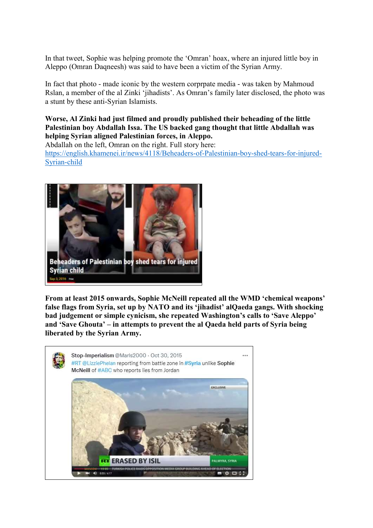In that tweet, Sophie was helping promote the 'Omran' hoax, where an injured little boy in Aleppo (Omran Daqneesh) was said to have been a victim of the Syrian Army.

In fact that photo - made iconic by the western corprpate media - was taken by Mahmoud Rslan, a member of the al Zinki 'jihadists'. As Omran's family later disclosed, the photo was a stunt by these anti-Syrian Islamists.

**Worse, Al Zinki had just filmed and proudly published their beheading of the little Palestinian boy Abdallah Issa. The US backed gang thought that little Abdallah was helping Syrian aligned Palestinian forces, in Aleppo.**

Abdallah on the left, Omran on the right. Full story here:

[https://english.khamenei.ir/news/4118/Beheaders-of-Palestinian-boy-shed-tears-for-injured-](https://english.khamenei.ir/news/4118/Beheaders-of-Palestinian-boy-shed-tears-for-injured-Syrian-child)[Syrian-child](https://english.khamenei.ir/news/4118/Beheaders-of-Palestinian-boy-shed-tears-for-injured-Syrian-child)



**From at least 2015 onwards, Sophie McNeill repeated all the WMD 'chemical weapons' false flags from Syria, set up by NATO and its 'jihadist' alQaeda gangs. With shocking bad judgement or simple cynicism, she repeated Washington's calls to 'Save Aleppo' and 'Save Ghouta' – in attempts to prevent the al Qaeda held parts of Syria being liberated by the Syrian Army.**

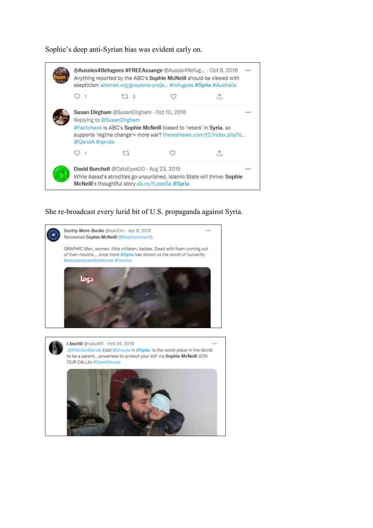Sophie's deep anti-Syrian bias was evident early on.



She re-broadcast every lurid bit of U.S. propaganda against Syria.

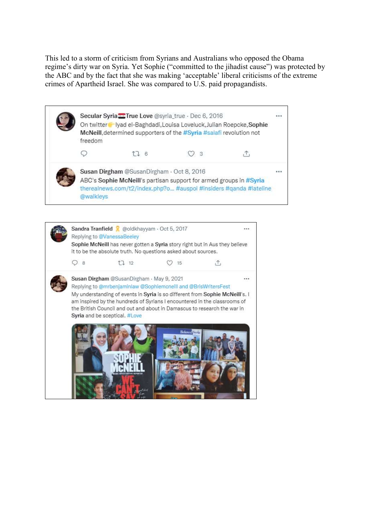This led to a storm of criticism from Syrians and Australians who opposed the Obama regime's dirty war on Syria. Yet Sophie ("committed to the jihadist cause") was protected by the ABC and by the fact that she was making 'acceptable' liberal criticisms of the extreme crimes of Apartheid Israel. She was compared to U.S. paid propagandists.

|  | Secular Syria <sup>-True</sup> Love @syria_true · Dec 6, 2016<br>On twitter byad el-Baghdadi, Louisa Loveluck, Julian Roepcke, Sophie<br>McNeill, determined supporters of the #Syria #salafi revolution not<br>freedom |      |           |  |  |
|--|-------------------------------------------------------------------------------------------------------------------------------------------------------------------------------------------------------------------------|------|-----------|--|--|
|  |                                                                                                                                                                                                                         | IJ 6 | <u>уз</u> |  |  |
|  | Susan Dirgham @SusanDirgham · Oct 8, 2016<br>ABC's Sophie McNeill's partisan support for armed groups in #Syria<br>therealnews.com/t2/index.php?o #auspol #insiders #qanda #lateline<br>@walkleys                       |      |           |  |  |

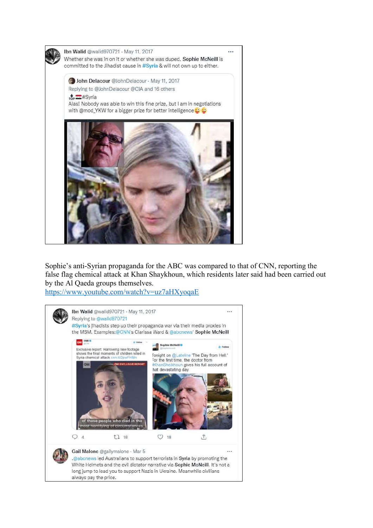

Sophie's anti-Syrian propaganda for the ABC was compared to that of CNN, reporting the false flag chemical attack at Khan Shaykhoun, which residents later said had been carried out by the Al Qaeda groups themselves.

<https://www.youtube.com/watch?v=uz7aHXyoqaE>

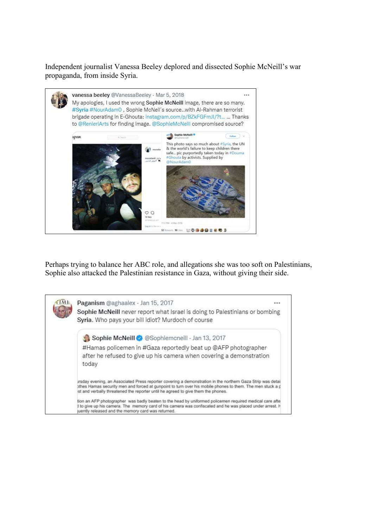Independent journalist Vanessa Beeley deplored and dissected Sophie McNeill's war propaganda, from inside Syria.



Perhaps trying to balance her ABC role, and allegations she was too soft on Palestinians, Sophie also attacked the Palestinian resistance in Gaza, without giving their side.

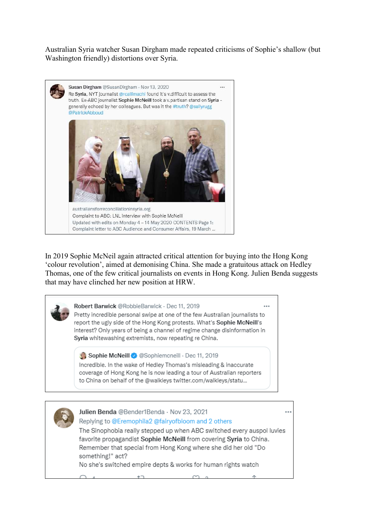Australian Syria watcher Susan Dirgham made repeated criticisms of Sophie's shallow (but Washington friendly) distortions over Syria.



In 2019 Sophie McNeil again attracted critical attention for buying into the Hong Kong 'colour revolution', aimed at demonising China. She made a gratuitous attack on Hedley Thomas, one of the few critical journalists on events in Hong Kong. Julien Benda suggests that may have clinched her new position at HRW.



Incredible. In the wake of Hedley Thomas's misleading & inaccurate coverage of Hong Kong he is now leading a tour of Australian reporters to China on behalf of the @walkleys twitter.com/walkleys/statu...



Julien Benda @Bender1Benda · Nov 23, 2021 Replying to @Eremophila2 @fairyofbloom and 2 others

The Sinophobia really stepped up when ABC switched every auspol luvies favorite propagandist Sophie McNeill from covering Syria to China. Remember that special from Hong Kong where she did her old "Do something!" act?

No she's switched empire depts & works for human rights watch